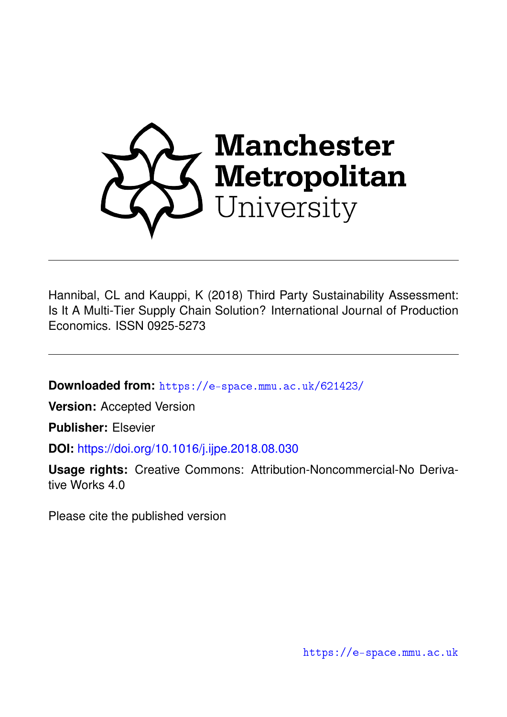

Hannibal, CL and Kauppi, K (2018) Third Party Sustainability Assessment: Is It A Multi-Tier Supply Chain Solution? International Journal of Production Economics. ISSN 0925-5273

**Downloaded from:** <https://e-space.mmu.ac.uk/621423/>

**Version:** Accepted Version

**Publisher:** Elsevier

**DOI:** <https://doi.org/10.1016/j.ijpe.2018.08.030>

**Usage rights:** Creative Commons: Attribution-Noncommercial-No Derivative Works 4.0

Please cite the published version

<https://e-space.mmu.ac.uk>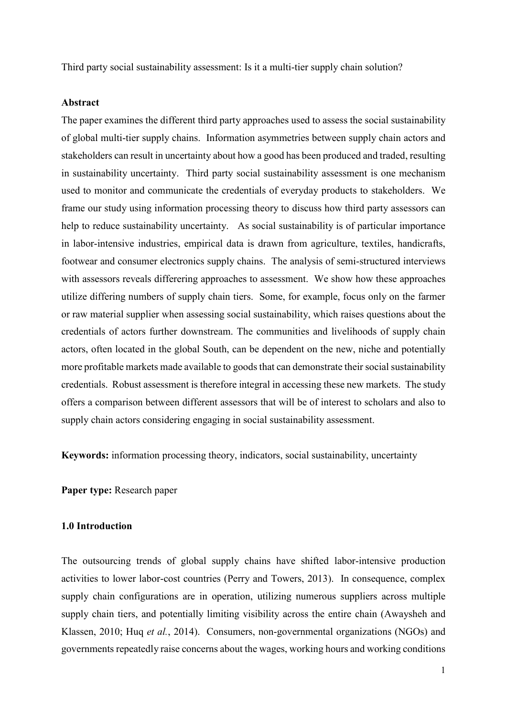Third party social sustainability assessment: Is it a multi-tier supply chain solution?

## **Abstract**

The paper examines the different third party approaches used to assess the social sustainability of global multi-tier supply chains. Information asymmetries between supply chain actors and stakeholders can result in uncertainty about how a good has been produced and traded, resulting in sustainability uncertainty. Third party social sustainability assessment is one mechanism used to monitor and communicate the credentials of everyday products to stakeholders. We frame our study using information processing theory to discuss how third party assessors can help to reduce sustainability uncertainty. As social sustainability is of particular importance in labor-intensive industries, empirical data is drawn from agriculture, textiles, handicrafts, footwear and consumer electronics supply chains. The analysis of semi-structured interviews with assessors reveals differering approaches to assessment. We show how these approaches utilize differing numbers of supply chain tiers. Some, for example, focus only on the farmer or raw material supplier when assessing social sustainability, which raises questions about the credentials of actors further downstream. The communities and livelihoods of supply chain actors, often located in the global South, can be dependent on the new, niche and potentially more profitable markets made available to goods that can demonstrate their social sustainability credentials. Robust assessment is therefore integral in accessing these new markets. The study offers a comparison between different assessors that will be of interest to scholars and also to supply chain actors considering engaging in social sustainability assessment.

**Keywords:** information processing theory, indicators, social sustainability, uncertainty

**Paper type:** Research paper

# **1.0 Introduction**

The outsourcing trends of global supply chains have shifted labor-intensive production activities to lower labor-cost countries [\(Perry and Towers, 2013\)](#page-28-0). In consequence, complex supply chain configurations are in operation, utilizing numerous suppliers across multiple supply chain tiers, and potentially limiting visibility across the entire chain [\(Awaysheh and](#page-26-0)  [Klassen, 2010;](#page-26-0) Huq *et al.*[, 2014\)](#page-28-1). Consumers, non-governmental organizations (NGOs) and governments repeatedly raise concerns about the wages, working hours and working conditions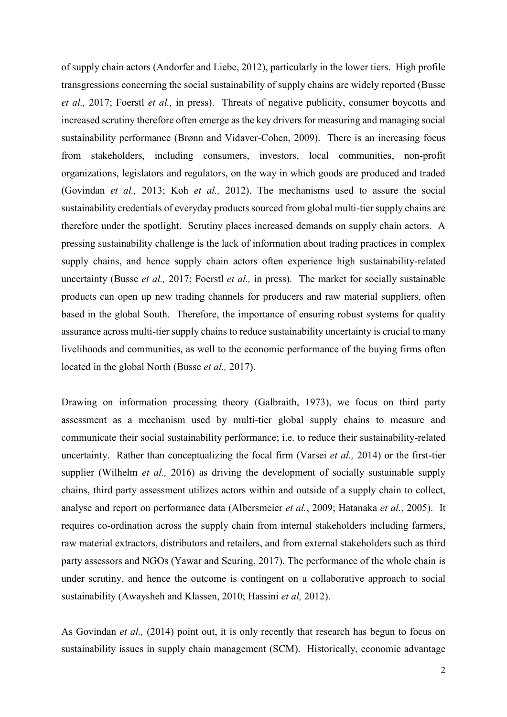of supply chain actors [\(Andorfer and Liebe, 2012\)](#page-26-1), particularly in the lower tiers. High profile transgressions concerning the social sustainability of supply chains are widely reported (Busse *et al.,* 2017; Foerstl *et al.,* in press). Threats of negative publicity, consumer boycotts and increased scrutiny therefore often emerge as the key drivers for measuring and managing social sustainability performance [\(Brønn and Vidaver-Cohen, 2009\)](#page-27-0). There is an increasing focus from stakeholders, including consumers, investors, local communities, non-profit organizations, legislators and regulators, on the way in which goods are produced and traded (Govindan *et al.,* 2013; Koh *et al.,* 2012). The mechanisms used to assure the social sustainability credentials of everyday products sourced from global multi-tier supply chains are therefore under the spotlight. Scrutiny places increased demands on supply chain actors. A pressing sustainability challenge is the lack of information about trading practices in complex supply chains, and hence supply chain actors often experience high sustainability-related uncertainty (Busse *et al.,* 2017; Foerstl *et al.,* in press). The market for socially sustainable products can open up new trading channels for producers and raw material suppliers, often based in the global South. Therefore, the importance of ensuring robust systems for quality assurance across multi-tier supply chains to reduce sustainability uncertainty is crucial to many livelihoods and communities, as well to the economic performance of the buying firms often located in the global North (Busse *et al.,* 2017).

Drawing on information processing theory (Galbraith, 1973), we focus on third party assessment as a mechanism used by multi-tier global supply chains to measure and communicate their social sustainability performance; i.e. to reduce their sustainability-related uncertainty. Rather than conceptualizing the focal firm (Varsei *et al.,* 2014) or the first-tier supplier (Wilhelm *et al.,* 2016) as driving the development of socially sustainable supply chains, third party assessment utilizes actors within and outside of a supply chain to collect, analyse and report on performance data [\(Albersmeier](#page-26-2) *et al.*, 2009; [Hatanaka](#page-28-2) *et al.*, 2005). It requires co-ordination across the supply chain from internal stakeholders including farmers, raw material extractors, distributors and retailers, and from external stakeholders such as third party assessors and NGOs (Yawar and Seuring, 2017). The performance of the whole chain is under scrutiny, and hence the outcome is contingent on a collaborative approach to social sustainability (Awaysheh and Klassen, 2010; Hassini *et al,* 2012).

As Govindan *et al.,* (2014) point out, it is only recently that research has begun to focus on sustainability issues in supply chain management (SCM). Historically, economic advantage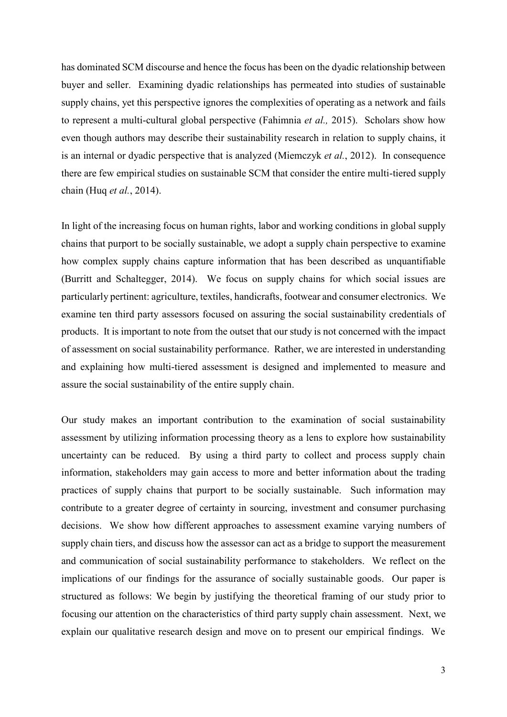has dominated SCM discourse and hence the focus has been on the dyadic relationship between buyer and seller. Examining dyadic relationships has permeated into studies of sustainable supply chains, yet this perspective ignores the complexities of operating as a network and fails to represent a multi-cultural global perspective (Fahimnia *et al.,* 2015). Scholars show how even though authors may describe their sustainability research in relation to supply chains, it is an internal or dyadic perspective that is analyzed [\(Miemczyk](#page-27-1) *et al.*, 2012). In consequence there are few empirical studies on sustainable SCM that consider the entire multi-tiered supply chain (Huq *et al.*[, 2014\)](#page-28-1).

In light of the increasing focus on human rights, labor and working conditions in global supply chains that purport to be socially sustainable, we adopt a supply chain perspective to examine how complex supply chains capture information that has been described as unquantifiable [\(Burritt and Schaltegger, 2014\)](#page-27-1). We focus on supply chains for which social issues are particularly pertinent: agriculture, textiles, handicrafts, footwear and consumer electronics. We examine ten third party assessors focused on assuring the social sustainability credentials of products. It is important to note from the outset that our study is not concerned with the impact of assessment on social sustainability performance. Rather, we are interested in understanding and explaining how multi-tiered assessment is designed and implemented to measure and assure the social sustainability of the entire supply chain.

Our study makes an important contribution to the examination of social sustainability assessment by utilizing information processing theory as a lens to explore how sustainability uncertainty can be reduced. By using a third party to collect and process supply chain information, stakeholders may gain access to more and better information about the trading practices of supply chains that purport to be socially sustainable. Such information may contribute to a greater degree of certainty in sourcing, investment and consumer purchasing decisions. We show how different approaches to assessment examine varying numbers of supply chain tiers, and discuss how the assessor can act as a bridge to support the measurement and communication of social sustainability performance to stakeholders. We reflect on the implications of our findings for the assurance of socially sustainable goods. Our paper is structured as follows: We begin by justifying the theoretical framing of our study prior to focusing our attention on the characteristics of third party supply chain assessment. Next, we explain our qualitative research design and move on to present our empirical findings. We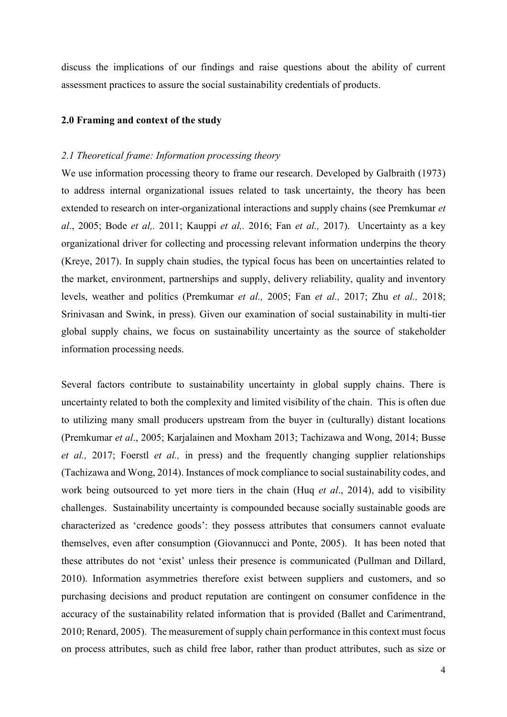discuss the implications of our findings and raise questions about the ability of current assessment practices to assure the social sustainability credentials of products.

# **2.0 Framing and context of the study**

#### *2.1 Theoretical frame: Information processing theory*

We use information processing theory to frame our research. Developed by Galbraith (1973) to address internal organizational issues related to task uncertainty, the theory has been extended to research on inter-organizational interactions and supply chains (see Premkumar *et al*., 2005; Bode *et al,.* 2011; Kauppi *et al,.* 2016; Fan *et al.,* 2017). Uncertainty as a key organizational driver for collecting and processing relevant information underpins the theory (Kreye, 2017). In supply chain studies, the typical focus has been on uncertainties related to the market, environment, partnerships and supply, delivery reliability, quality and inventory levels, weather and politics (Premkumar *et al.,* 2005; Fan *et al.,* 2017; Zhu *et al.,* 2018; Srinivasan and Swink, in press). Given our examination of social sustainability in multi-tier global supply chains, we focus on sustainability uncertainty as the source of stakeholder information processing needs.

Several factors contribute to sustainability uncertainty in global supply chains. There is uncertainty related to both the complexity and limited visibility of the chain. This is often due to utilizing many small producers upstream from the buyer in (culturally) distant locations (Premkumar *et al*., 2005; Karjalainen and Moxham 2013; Tachizawa and Wong, 2014; Busse *et al.,* 2017; Foerstl *et al.,* in press) and the frequently changing supplier relationships (Tachizawa and Wong, 2014). Instances of mock compliance to social sustainability codes, and work being outsourced to yet more tiers in the chain (Huq *et al*., 2014), add to visibility challenges. Sustainability uncertainty is compounded because socially sustainable goods are characterized as 'credence goods': they possess attributes that consumers cannot evaluate themselves, even after consumption [\(Giovannucci and Ponte, 2005\)](#page-27-2). It has been noted that these attributes do not 'exist' unless their presence is communicated [\(Pullman and Dillard,](#page-29-0)  [2010\)](#page-29-0). Information asymmetries therefore exist between suppliers and customers, and so purchasing decisions and product reputation are contingent on consumer confidence in the accuracy of the sustainability related information that is provided [\(Ballet and Carimentrand,](#page-26-3)  [2010;](#page-26-3) Renard, 2005). The measurement of supply chain performance in this context must focus on process attributes, such as child free labor, rather than product attributes, such as size or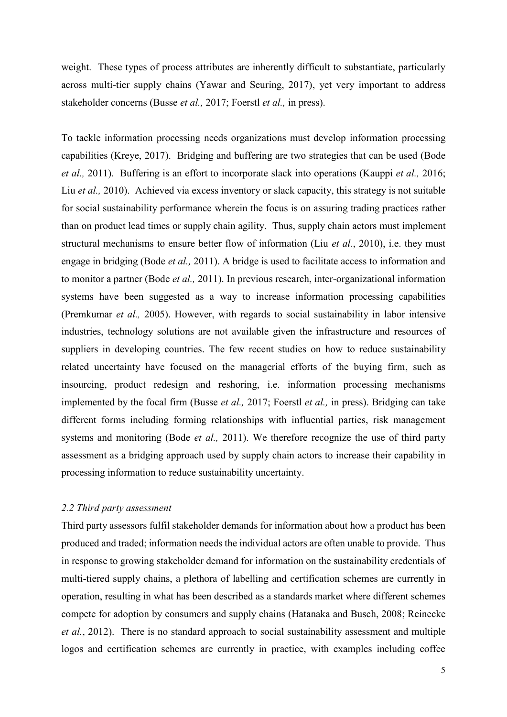weight. These types of process attributes are inherently difficult to substantiate, particularly across multi-tier supply chains (Yawar and Seuring, 2017), yet very important to address stakeholder concerns (Busse *et al.,* 2017; Foerstl *et al.,* in press).

To tackle information processing needs organizations must develop information processing capabilities (Kreye, 2017). Bridging and buffering are two strategies that can be used (Bode *et al.,* 2011). Buffering is an effort to incorporate slack into operations (Kauppi *et al.,* 2016; Liu *et al.*, 2010). Achieved via excess inventory or slack capacity, this strategy is not suitable for social sustainability performance wherein the focus is on assuring trading practices rather than on product lead times or supply chain agility. Thus, supply chain actors must implement structural mechanisms to ensure better flow of information (Liu *et al.*, 2010), i.e. they must engage in bridging (Bode *et al.,* 2011). A bridge is used to facilitate access to information and to monitor a partner (Bode *et al.,* 2011). In previous research, inter-organizational information systems have been suggested as a way to increase information processing capabilities (Premkumar *et al.,* 2005). However, with regards to social sustainability in labor intensive industries, technology solutions are not available given the infrastructure and resources of suppliers in developing countries. The few recent studies on how to reduce sustainability related uncertainty have focused on the managerial efforts of the buying firm, such as insourcing, product redesign and reshoring, i.e. information processing mechanisms implemented by the focal firm (Busse *et al.,* 2017; Foerstl *et al.,* in press). Bridging can take different forms including forming relationships with influential parties, risk management systems and monitoring (Bode *et al.,* 2011). We therefore recognize the use of third party assessment as a bridging approach used by supply chain actors to increase their capability in processing information to reduce sustainability uncertainty.

# *2.2 Third party assessment*

Third party assessors fulfil stakeholder demands for information about how a product has been produced and traded; information needs the individual actors are often unable to provide. Thus in response to growing stakeholder demand for information on the sustainability credentials of multi-tiered supply chains, a plethora of labelling and certification schemes are currently in operation, resulting in what has been described as a standards market where different schemes compete for adoption by consumers and supply chains [\(Hatanaka and Busch, 2008;](#page-28-3) [Reinecke](#page-29-1) *et al.*[, 2012\)](#page-29-1). There is no standard approach to social sustainability assessment and multiple logos and certification schemes are currently in practice, with examples including coffee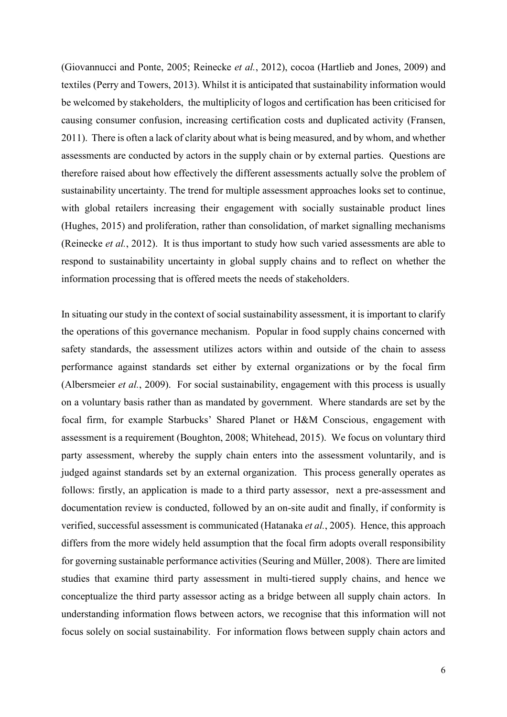[\(Giovannucci and Ponte, 2005;](#page-27-2) [Reinecke](#page-29-1) *et al.*, 2012), cocoa [\(Hartlieb and Jones, 2009\)](#page-27-3) and textiles [\(Perry and Towers, 2013\)](#page-28-0). Whilst it is anticipated that sustainability information would be welcomed by stakeholders, the multiplicity of logos and certification has been criticised for causing consumer confusion, increasing certification costs and duplicated activity [\(Fransen,](#page-27-4)  [2011\)](#page-27-4). There is often a lack of clarity about what is being measured, and by whom, and whether assessments are conducted by actors in the supply chain or by external parties. Questions are therefore raised about how effectively the different assessments actually solve the problem of sustainability uncertainty. The trend for multiple assessment approaches looks set to continue, with global retailers increasing their engagement with socially sustainable product lines [\(Hughes, 2015\)](#page-28-4) and proliferation, rather than consolidation, of market signalling mechanisms [\(Reinecke](#page-29-1) *et al.*, 2012). It is thus important to study how such varied assessments are able to respond to sustainability uncertainty in global supply chains and to reflect on whether the information processing that is offered meets the needs of stakeholders.

In situating our study in the context of social sustainability assessment, it is important to clarify the operations of this governance mechanism. Popular in food supply chains concerned with safety standards, the assessment utilizes actors within and outside of the chain to assess performance against standards set either by external organizations or by the focal firm [\(Albersmeier](#page-26-2) *et al.*, 2009). For social sustainability, engagement with this process is usually on a voluntary basis rather than as mandated by government. Where standards are set by the focal firm, for example Starbucks' Shared Planet or H&M Conscious, engagement with assessment is a requirement (Boughton, 2008; Whitehead, 2015). We focus on voluntary third party assessment, whereby the supply chain enters into the assessment voluntarily, and is judged against standards set by an external organization. This process generally operates as follows: firstly, an application is made to a third party assessor, next a pre-assessment and documentation review is conducted, followed by an on-site audit and finally, if conformity is verified, successful assessment is communicated [\(Hatanaka](#page-28-2) *et al.*, 2005). Hence, this approach differs from the more widely held assumption that the focal firm adopts overall responsibility for governing sustainable performance activities [\(Seuring and Müller, 2008\)](#page-29-2). There are limited studies that examine third party assessment in multi-tiered supply chains, and hence we conceptualize the third party assessor acting as a bridge between all supply chain actors. In understanding information flows between actors, we recognise that this information will not focus solely on social sustainability. For information flows between supply chain actors and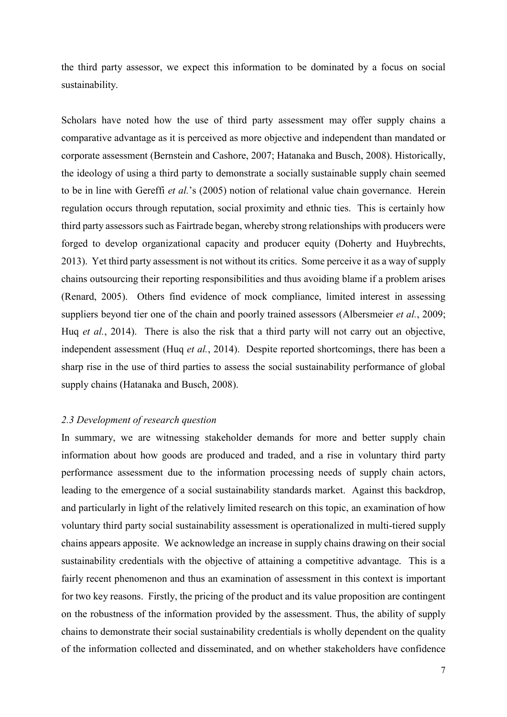the third party assessor, we expect this information to be dominated by a focus on social sustainability.

Scholars have noted how the use of third party assessment may offer supply chains a comparative advantage as it is perceived as more objective and independent than mandated or corporate assessment [\(Bernstein and Cashore, 2007;](#page-26-4) [Hatanaka and Busch, 2008\)](#page-28-3). Historically, the ideology of using a third party to demonstrate a socially sustainable supply chain seemed to be in line with Gereffi *et al.*'s (2005) notion of relational value chain governance. Herein regulation occurs through reputation, social proximity and ethnic ties. This is certainly how third party assessors such as Fairtrade began, whereby strong relationships with producers were forged to develop organizational capacity and producer equity [\(Doherty and Huybrechts,](#page-27-5)  [2013\)](#page-27-5). Yet third party assessment is not without its critics. Some perceive it as a way of supply chains outsourcing their reporting responsibilities and thus avoiding blame if a problem arises [\(Renard, 2005\)](#page-29-3). Others find evidence of mock compliance, limited interest in assessing suppliers beyond tier one of the chain and poorly trained assessors [\(Albersmeier](#page-26-2) *et al.*, 2009; Hug *et al.*[, 2014\)](#page-28-1). There is also the risk that a third party will not carry out an objective, independent assessment (Huq *et al.*[, 2014\)](#page-28-1). Despite reported shortcomings, there has been a sharp rise in the use of third parties to assess the social sustainability performance of global supply chains [\(Hatanaka and Busch, 2008\)](#page-28-3).

## *2.3 Development of research question*

In summary, we are witnessing stakeholder demands for more and better supply chain information about how goods are produced and traded, and a rise in voluntary third party performance assessment due to the information processing needs of supply chain actors, leading to the emergence of a social sustainability standards market. Against this backdrop, and particularly in light of the relatively limited research on this topic, an examination of how voluntary third party social sustainability assessment is operationalized in multi-tiered supply chains appears apposite. We acknowledge an increase in supply chains drawing on their social sustainability credentials with the objective of attaining a competitive advantage. This is a fairly recent phenomenon and thus an examination of assessment in this context is important for two key reasons. Firstly, the pricing of the product and its value proposition are contingent on the robustness of the information provided by the assessment. Thus, the ability of supply chains to demonstrate their social sustainability credentials is wholly dependent on the quality of the information collected and disseminated, and on whether stakeholders have confidence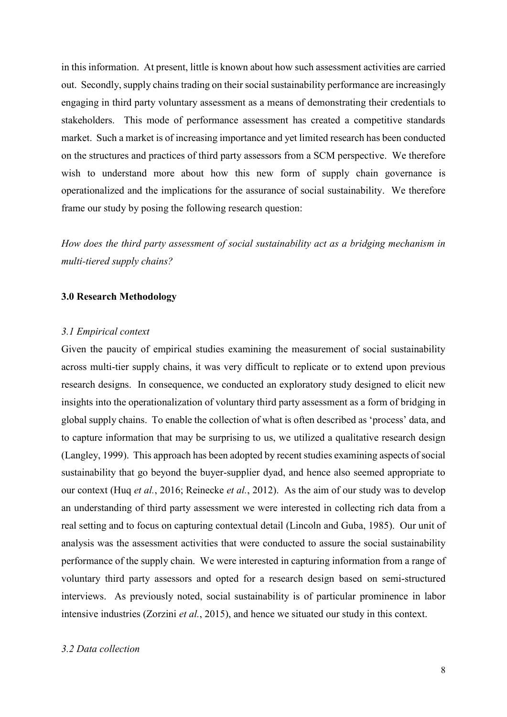in this information. At present, little is known about how such assessment activities are carried out. Secondly, supply chains trading on their social sustainability performance are increasingly engaging in third party voluntary assessment as a means of demonstrating their credentials to stakeholders. This mode of performance assessment has created a competitive standards market. Such a market is of increasing importance and yet limited research has been conducted on the structures and practices of third party assessors from a SCM perspective. We therefore wish to understand more about how this new form of supply chain governance is operationalized and the implications for the assurance of social sustainability. We therefore frame our study by posing the following research question:

*How does the third party assessment of social sustainability act as a bridging mechanism in multi-tiered supply chains?* 

## **3.0 Research Methodology**

#### *3.1 Empirical context*

Given the paucity of empirical studies examining the measurement of social sustainability across multi-tier supply chains, it was very difficult to replicate or to extend upon previous research designs. In consequence, we conducted an exploratory study designed to elicit new insights into the operationalization of voluntary third party assessment as a form of bridging in global supply chains. To enable the collection of what is often described as 'process' data, and to capture information that may be surprising to us, we utilized a qualitative research design [\(Langley, 1999\)](#page-28-5). This approach has been adopted by recent studies examining aspects of social sustainability that go beyond the buyer-supplier dyad, and hence also seemed appropriate to our context (Huq *et al.*[, 2016;](#page-28-6) [Reinecke](#page-29-1) *et al.*, 2012). As the aim of our study was to develop an understanding of third party assessment we were interested in collecting rich data from a real setting and to focus on capturing contextual detail [\(Lincoln and Guba, 1985\)](#page-28-7). Our unit of analysis was the assessment activities that were conducted to assure the social sustainability performance of the supply chain. We were interested in capturing information from a range of voluntary third party assessors and opted for a research design based on semi-structured interviews. As previously noted, social sustainability is of particular prominence in labor intensive industries [\(Zorzini](#page-29-4) *et al.*, 2015), and hence we situated our study in this context.

# *3.2 Data collection*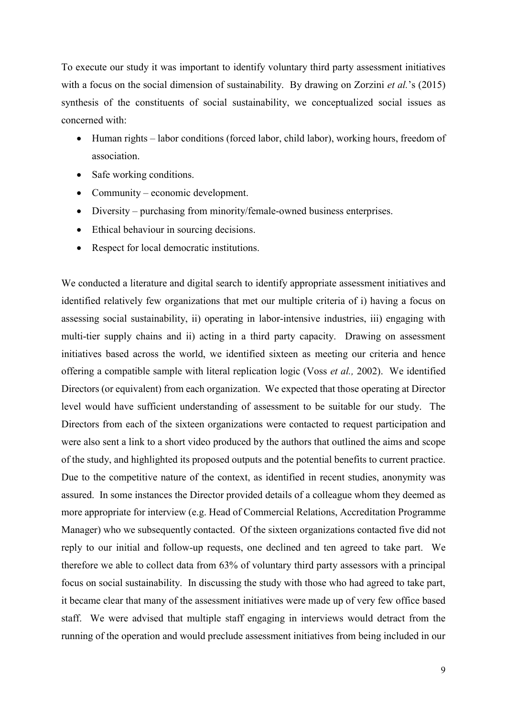To execute our study it was important to identify voluntary third party assessment initiatives with a focus on the social dimension of sustainability. By drawing on Zorzini *et al.*'s [\(2015\)](#page-29-4) synthesis of the constituents of social sustainability, we conceptualized social issues as concerned with:

- Human rights labor conditions (forced labor, child labor), working hours, freedom of association.
- Safe working conditions.
- Community economic development.
- Diversity purchasing from minority/female-owned business enterprises.
- Ethical behaviour in sourcing decisions.
- Respect for local democratic institutions.

We conducted a literature and digital search to identify appropriate assessment initiatives and identified relatively few organizations that met our multiple criteria of i) having a focus on assessing social sustainability, ii) operating in labor-intensive industries, iii) engaging with multi-tier supply chains and ii) acting in a third party capacity. Drawing on assessment initiatives based across the world, we identified sixteen as meeting our criteria and hence offering a compatible sample with literal replication logic (Voss *et al.,* 2002). We identified Directors (or equivalent) from each organization. We expected that those operating at Director level would have sufficient understanding of assessment to be suitable for our study. The Directors from each of the sixteen organizations were contacted to request participation and were also sent a link to a short video produced by the authors that outlined the aims and scope of the study, and highlighted its proposed outputs and the potential benefits to current practice. Due to the competitive nature of the context, as identified in recent studies, anonymity was assured. In some instances the Director provided details of a colleague whom they deemed as more appropriate for interview (e.g. Head of Commercial Relations, Accreditation Programme Manager) who we subsequently contacted. Of the sixteen organizations contacted five did not reply to our initial and follow-up requests, one declined and ten agreed to take part. We therefore we able to collect data from 63% of voluntary third party assessors with a principal focus on social sustainability. In discussing the study with those who had agreed to take part, it became clear that many of the assessment initiatives were made up of very few office based staff. We were advised that multiple staff engaging in interviews would detract from the running of the operation and would preclude assessment initiatives from being included in our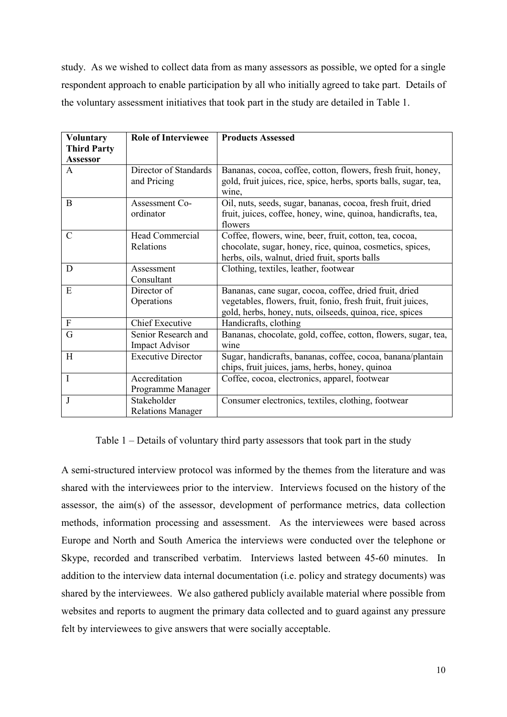study. As we wished to collect data from as many assessors as possible, we opted for a single respondent approach to enable participation by all who initially agreed to take part. Details of the voluntary assessment initiatives that took part in the study are detailed in Table 1.

| <b>Voluntary</b><br><b>Third Party</b><br>Assessor | <b>Role of Interviewee</b>                   | <b>Products Assessed</b>                                                                                                                                                            |
|----------------------------------------------------|----------------------------------------------|-------------------------------------------------------------------------------------------------------------------------------------------------------------------------------------|
| A                                                  | Director of Standards<br>and Pricing         | Bananas, cocoa, coffee, cotton, flowers, fresh fruit, honey,<br>gold, fruit juices, rice, spice, herbs, sports balls, sugar, tea,<br>wine.                                          |
| B                                                  | Assessment Co-<br>ordinator                  | Oil, nuts, seeds, sugar, bananas, cocoa, fresh fruit, dried<br>fruit, juices, coffee, honey, wine, quinoa, handicrafts, tea,<br>flowers                                             |
| $\mathcal{C}$                                      | Head Commercial<br>Relations                 | Coffee, flowers, wine, beer, fruit, cotton, tea, cocoa,<br>chocolate, sugar, honey, rice, quinoa, cosmetics, spices,<br>herbs, oils, walnut, dried fruit, sports balls              |
| D                                                  | Assessment<br>Consultant                     | Clothing, textiles, leather, footwear                                                                                                                                               |
| E                                                  | Director of<br>Operations                    | Bananas, cane sugar, cocoa, coffee, dried fruit, dried<br>vegetables, flowers, fruit, fonio, fresh fruit, fruit juices,<br>gold, herbs, honey, nuts, oilseeds, quinoa, rice, spices |
| $\boldsymbol{F}$                                   | <b>Chief Executive</b>                       | Handicrafts, clothing                                                                                                                                                               |
| G                                                  | Senior Research and<br><b>Impact Advisor</b> | Bananas, chocolate, gold, coffee, cotton, flowers, sugar, tea,<br>wine                                                                                                              |
| H                                                  | <b>Executive Director</b>                    | Sugar, handicrafts, bananas, coffee, cocoa, banana/plantain<br>chips, fruit juices, jams, herbs, honey, quinoa                                                                      |
| $\mathbf I$                                        | Accreditation<br>Programme Manager           | Coffee, cocoa, electronics, apparel, footwear                                                                                                                                       |
| $\bf J$                                            | Stakeholder<br><b>Relations Manager</b>      | Consumer electronics, textiles, clothing, footwear                                                                                                                                  |

Table 1 – Details of voluntary third party assessors that took part in the study

A semi-structured interview protocol was informed by the themes from the literature and was shared with the interviewees prior to the interview. Interviews focused on the history of the assessor, the aim(s) of the assessor, development of performance metrics, data collection methods, information processing and assessment. As the interviewees were based across Europe and North and South America the interviews were conducted over the telephone or Skype, recorded and transcribed verbatim. Interviews lasted between 45-60 minutes. In addition to the interview data internal documentation (i.e. policy and strategy documents) was shared by the interviewees. We also gathered publicly available material where possible from websites and reports to augment the primary data collected and to guard against any pressure felt by interviewees to give answers that were socially acceptable.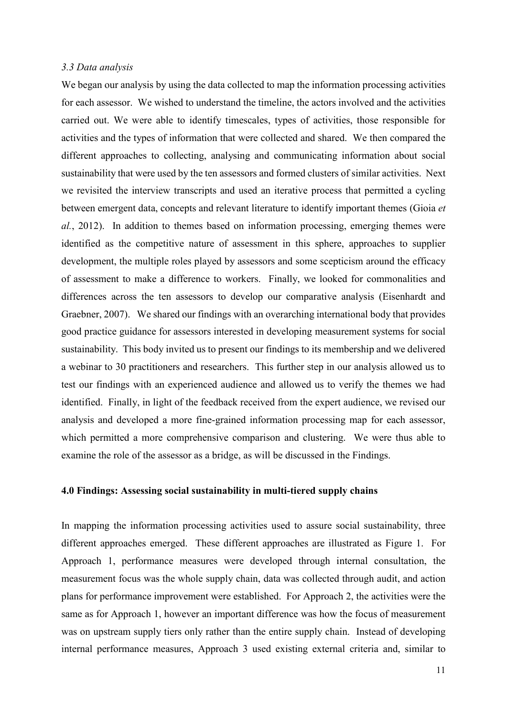#### *3.3 Data analysis*

We began our analysis by using the data collected to map the information processing activities for each assessor. We wished to understand the timeline, the actors involved and the activities carried out. We were able to identify timescales, types of activities, those responsible for activities and the types of information that were collected and shared. We then compared the different approaches to collecting, analysing and communicating information about social sustainability that were used by the ten assessors and formed clusters of similar activities. Next we revisited the interview transcripts and used an iterative process that permitted a cycling between emergent data, concepts and relevant literature to identify important themes [\(Gioia](#page-27-6) *et al.*[, 2012\)](#page-27-6). In addition to themes based on information processing, emerging themes were identified as the competitive nature of assessment in this sphere, approaches to supplier development, the multiple roles played by assessors and some scepticism around the efficacy of assessment to make a difference to workers. Finally, we looked for commonalities and differences across the ten assessors to develop our comparative analysis (Eisenhardt and Graebner, 2007). We shared our findings with an overarching international body that provides good practice guidance for assessors interested in developing measurement systems for social sustainability. This body invited us to present our findings to its membership and we delivered a webinar to 30 practitioners and researchers. This further step in our analysis allowed us to test our findings with an experienced audience and allowed us to verify the themes we had identified. Finally, in light of the feedback received from the expert audience, we revised our analysis and developed a more fine-grained information processing map for each assessor, which permitted a more comprehensive comparison and clustering. We were thus able to examine the role of the assessor as a bridge, as will be discussed in the Findings.

## **4.0 Findings: Assessing social sustainability in multi-tiered supply chains**

In mapping the information processing activities used to assure social sustainability, three different approaches emerged. These different approaches are illustrated as Figure 1. For Approach 1, performance measures were developed through internal consultation, the measurement focus was the whole supply chain, data was collected through audit, and action plans for performance improvement were established. For Approach 2, the activities were the same as for Approach 1, however an important difference was how the focus of measurement was on upstream supply tiers only rather than the entire supply chain. Instead of developing internal performance measures, Approach 3 used existing external criteria and, similar to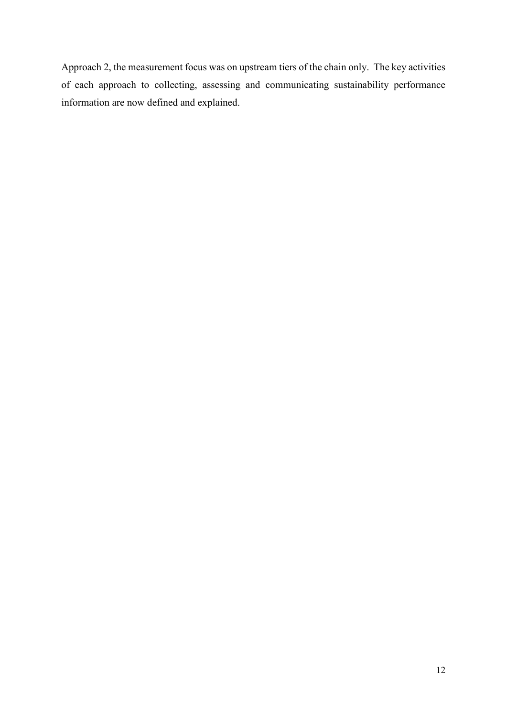Approach 2, the measurement focus was on upstream tiers of the chain only. The key activities of each approach to collecting, assessing and communicating sustainability performance information are now defined and explained.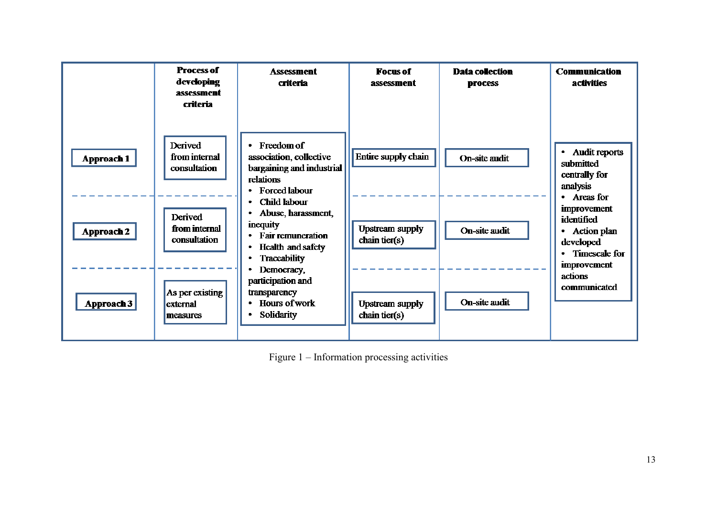|                   | <b>Process of</b><br>developing<br>assessment<br>criteria | <b>Assessment</b><br>criteria                                                                                                                                                                                                                          | <b>Focus of</b><br>assessment             | Data collection<br><b>process</b> | <b>Communication</b><br><b>activities</b>                                                                                                                             |
|-------------------|-----------------------------------------------------------|--------------------------------------------------------------------------------------------------------------------------------------------------------------------------------------------------------------------------------------------------------|-------------------------------------------|-----------------------------------|-----------------------------------------------------------------------------------------------------------------------------------------------------------------------|
| <b>Approach 1</b> | <b>Derived</b><br>from internal<br>consultation           | Freedom of<br>association, collective<br>bargaining and industrial<br>relations<br><b>Forced labour</b><br>Child labour<br>Abuse, harassment,<br>inequity<br><b>Fair remuneration</b><br><b>Health and safety</b><br><b>Traceability</b><br>Democracy, | Entire supply chain                       | On-site audit                     | • Audit reports<br>submitted<br>centrally for<br>analysis<br>• Areas for<br>improvement<br>identified<br>• Action plan<br>developed<br>• Timescale for<br>improvement |
| <b>Approach 2</b> | <b>Derived</b><br>from internal<br>consultation           |                                                                                                                                                                                                                                                        | <b>Upstream supply</b><br>$chain$ tier(s) | On-site audit                     |                                                                                                                                                                       |
| <b>Approach 3</b> | As per existing<br>external<br>measures                   | participation and<br>transparency<br><b>Hours of work</b><br><b>Solidarity</b><br>٠                                                                                                                                                                    | <b>Upstream supply</b><br>$chain$ tier(s) | On-site audit                     | actions<br>communicated                                                                                                                                               |

Figure 1 – Information processing activities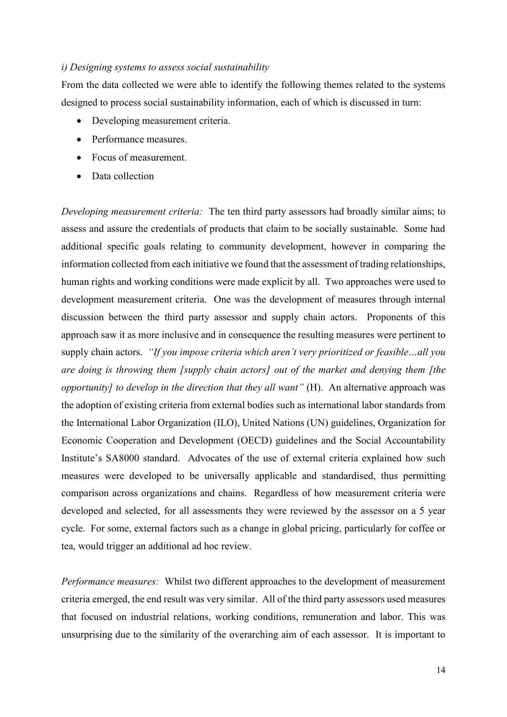## *i) Designing systems to assess social sustainability*

From the data collected we were able to identify the following themes related to the systems designed to process social sustainability information, each of which is discussed in turn:

- Developing measurement criteria.
- **•** Performance measures
- Focus of measurement.
- Data collection

*Developing measurement criteria:* The ten third party assessors had broadly similar aims; to assess and assure the credentials of products that claim to be socially sustainable. Some had additional specific goals relating to community development, however in comparing the information collected from each initiative we found that the assessment of trading relationships, human rights and working conditions were made explicit by all. Two approaches were used to development measurement criteria. One was the development of measures through internal discussion between the third party assessor and supply chain actors. Proponents of this approach saw it as more inclusive and in consequence the resulting measures were pertinent to supply chain actors. *"If you impose criteria which aren't very prioritized or feasible…all you are doing is throwing them [supply chain actors] out of the market and denying them [the opportunity] to develop in the direction that they all want"* (H). An alternative approach was the adoption of existing criteria from external bodies such as international labor standards from the International Labor Organization (ILO), United Nations (UN) guidelines, Organization for Economic Cooperation and Development (OECD) guidelines and the Social Accountability Institute's SA8000 standard. Advocates of the use of external criteria explained how such measures were developed to be universally applicable and standardised, thus permitting comparison across organizations and chains. Regardless of how measurement criteria were developed and selected, for all assessments they were reviewed by the assessor on a 5 year cycle. For some, external factors such as a change in global pricing, particularly for coffee or tea, would trigger an additional ad hoc review.

*Performance measures:* Whilst two different approaches to the development of measurement criteria emerged, the end result was very similar. All of the third party assessors used measures that focused on industrial relations, working conditions, remuneration and labor. This was unsurprising due to the similarity of the overarching aim of each assessor. It is important to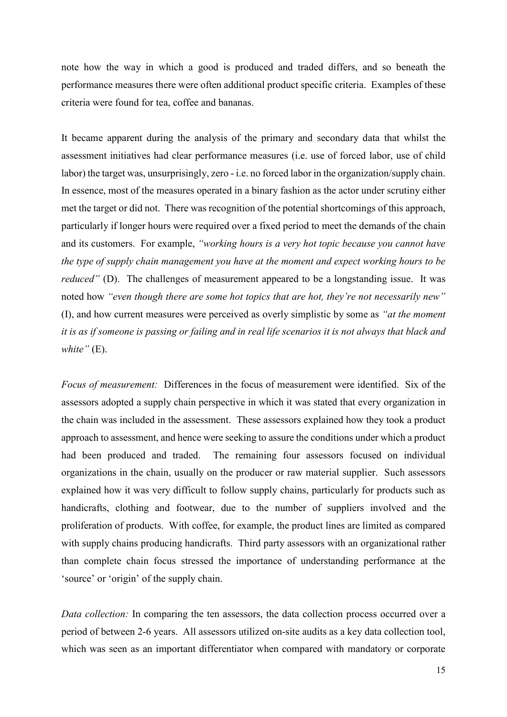note how the way in which a good is produced and traded differs, and so beneath the performance measures there were often additional product specific criteria. Examples of these criteria were found for tea, coffee and bananas.

It became apparent during the analysis of the primary and secondary data that whilst the assessment initiatives had clear performance measures (i.e. use of forced labor, use of child labor) the target was, unsurprisingly, zero - i.e. no forced labor in the organization/supply chain. In essence, most of the measures operated in a binary fashion as the actor under scrutiny either met the target or did not. There was recognition of the potential shortcomings of this approach, particularly if longer hours were required over a fixed period to meet the demands of the chain and its customers. For example, *"working hours is a very hot topic because you cannot have the type of supply chain management you have at the moment and expect working hours to be reduced"* (D). The challenges of measurement appeared to be a longstanding issue. It was noted how *"even though there are some hot topics that are hot, they're not necessarily new"* (I), and how current measures were perceived as overly simplistic by some as *"at the moment it is as if someone is passing or failing and in real life scenarios it is not always that black and white"* (E).

*Focus of measurement:* Differences in the focus of measurement were identified. Six of the assessors adopted a supply chain perspective in which it was stated that every organization in the chain was included in the assessment. These assessors explained how they took a product approach to assessment, and hence were seeking to assure the conditions under which a product had been produced and traded. The remaining four assessors focused on individual organizations in the chain, usually on the producer or raw material supplier. Such assessors explained how it was very difficult to follow supply chains, particularly for products such as handicrafts, clothing and footwear, due to the number of suppliers involved and the proliferation of products. With coffee, for example, the product lines are limited as compared with supply chains producing handicrafts. Third party assessors with an organizational rather than complete chain focus stressed the importance of understanding performance at the 'source' or 'origin' of the supply chain.

*Data collection:* In comparing the ten assessors, the data collection process occurred over a period of between 2-6 years. All assessors utilized on-site audits as a key data collection tool, which was seen as an important differentiator when compared with mandatory or corporate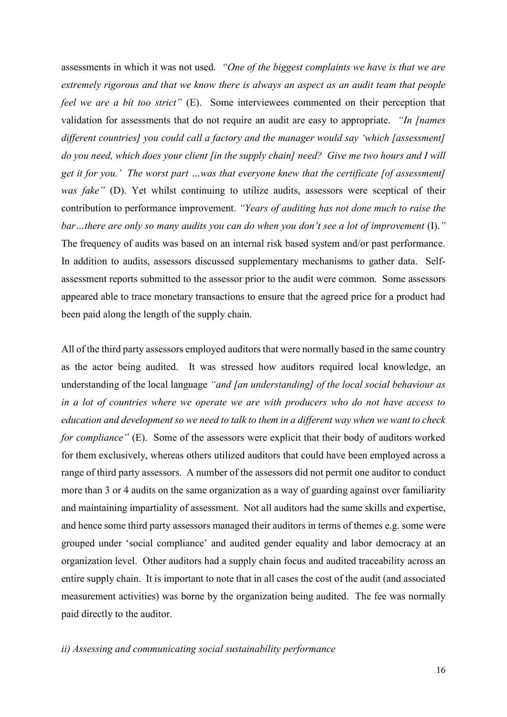assessments in which it was not used. *"One of the biggest complaints we have is that we are extremely rigorous and that we know there is always an aspect as an audit team that people feel we are a bit too strict*" (E). Some interviewees commented on their perception that validation for assessments that do not require an audit are easy to appropriate. *"In [names different countries] you could call a factory and the manager would say 'which [assessment] do you need, which does your client [in the supply chain] need? Give me two hours and I will get it for you.' The worst part …was that everyone knew that the certificate [of assessment] was fake"* (D). Yet whilst continuing to utilize audits, assessors were sceptical of their contribution to performance improvement. *"Years of auditing has not done much to raise the bar…there are only so many audits you can do when you don't see a lot of improvement* (I).*"*  The frequency of audits was based on an internal risk based system and/or past performance. In addition to audits, assessors discussed supplementary mechanisms to gather data. Selfassessment reports submitted to the assessor prior to the audit were common. Some assessors appeared able to trace monetary transactions to ensure that the agreed price for a product had been paid along the length of the supply chain.

All of the third party assessors employed auditors that were normally based in the same country as the actor being audited. It was stressed how auditors required local knowledge, an understanding of the local language *"and [an understanding] of the local social behaviour as in a lot of countries where we operate we are with producers who do not have access to education and development so we need to talk to them in a different way when we want to check for compliance*" (E). Some of the assessors were explicit that their body of auditors worked for them exclusively, whereas others utilized auditors that could have been employed across a range of third party assessors. A number of the assessors did not permit one auditor to conduct more than 3 or 4 audits on the same organization as a way of guarding against over familiarity and maintaining impartiality of assessment. Not all auditors had the same skills and expertise, and hence some third party assessors managed their auditors in terms of themes e.g. some were grouped under 'social compliance' and audited gender equality and labor democracy at an organization level. Other auditors had a supply chain focus and audited traceability across an entire supply chain. It is important to note that in all cases the cost of the audit (and associated measurement activities) was borne by the organization being audited. The fee was normally paid directly to the auditor.

*ii) Assessing and communicating social sustainability performance*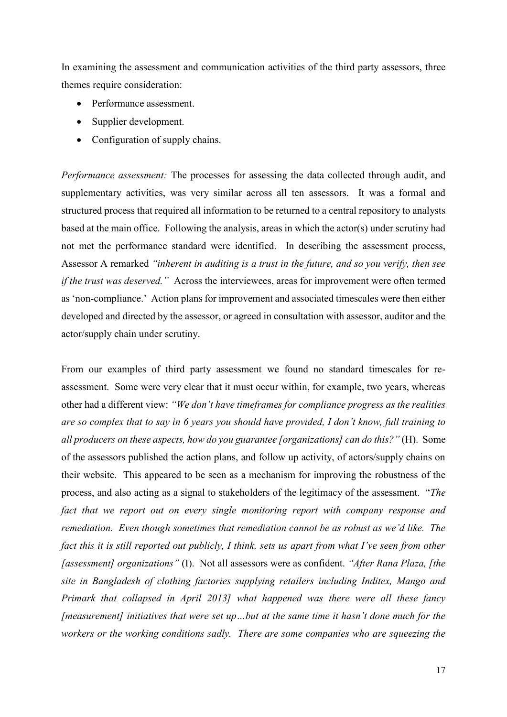In examining the assessment and communication activities of the third party assessors, three themes require consideration:

- Performance assessment.
- Supplier development.
- Configuration of supply chains.

*Performance assessment:* The processes for assessing the data collected through audit, and supplementary activities, was very similar across all ten assessors. It was a formal and structured process that required all information to be returned to a central repository to analysts based at the main office. Following the analysis, areas in which the actor(s) under scrutiny had not met the performance standard were identified. In describing the assessment process, Assessor A remarked *"inherent in auditing is a trust in the future, and so you verify, then see if the trust was deserved."* Across the interviewees, areas for improvement were often termed as 'non-compliance.' Action plans for improvement and associated timescales were then either developed and directed by the assessor, or agreed in consultation with assessor, auditor and the actor/supply chain under scrutiny.

From our examples of third party assessment we found no standard timescales for reassessment. Some were very clear that it must occur within, for example, two years, whereas other had a different view: *"We don't have timeframes for compliance progress as the realities are so complex that to say in 6 years you should have provided, I don't know, full training to all producers on these aspects, how do you guarantee [organizations] can do this?"* (H). Some of the assessors published the action plans, and follow up activity, of actors/supply chains on their website. This appeared to be seen as a mechanism for improving the robustness of the process, and also acting as a signal to stakeholders of the legitimacy of the assessment. "*The fact that we report out on every single monitoring report with company response and remediation. Even though sometimes that remediation cannot be as robust as we'd like. The fact this it is still reported out publicly, I think, sets us apart from what I've seen from other [assessment] organizations"* (I). Not all assessors were as confident. *"After Rana Plaza, [the site in Bangladesh of clothing factories supplying retailers including Inditex, Mango and Primark that collapsed in April 2013] what happened was there were all these fancy [measurement] initiatives that were set up…but at the same time it hasn't done much for the workers or the working conditions sadly. There are some companies who are squeezing the*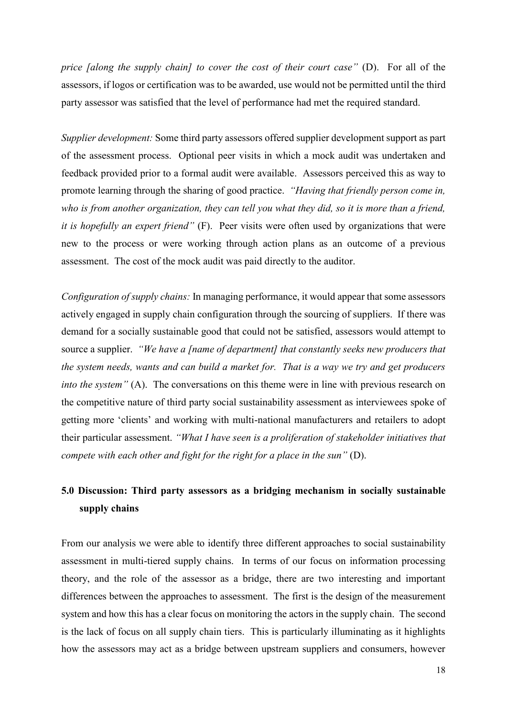*price [along the supply chain] to cover the cost of their court case"* (D). For all of the assessors, if logos or certification was to be awarded, use would not be permitted until the third party assessor was satisfied that the level of performance had met the required standard.

*Supplier development:* Some third party assessors offered supplier development support as part of the assessment process. Optional peer visits in which a mock audit was undertaken and feedback provided prior to a formal audit were available. Assessors perceived this as way to promote learning through the sharing of good practice. *"Having that friendly person come in, who is from another organization, they can tell you what they did, so it is more than a friend, it is hopefully an expert friend"* (F). Peer visits were often used by organizations that were new to the process or were working through action plans as an outcome of a previous assessment. The cost of the mock audit was paid directly to the auditor.

*Configuration of supply chains:* In managing performance, it would appear that some assessors actively engaged in supply chain configuration through the sourcing of suppliers. If there was demand for a socially sustainable good that could not be satisfied, assessors would attempt to source a supplier. *"We have a [name of department] that constantly seeks new producers that the system needs, wants and can build a market for. That is a way we try and get producers into the system"* (A). The conversations on this theme were in line with previous research on the competitive nature of third party social sustainability assessment as interviewees spoke of getting more 'clients' and working with multi-national manufacturers and retailers to adopt their particular assessment. *"What I have seen is a proliferation of stakeholder initiatives that compete with each other and fight for the right for a place in the sun"* (D).

# **5.0 Discussion: Third party assessors as a bridging mechanism in socially sustainable supply chains**

From our analysis we were able to identify three different approaches to social sustainability assessment in multi-tiered supply chains. In terms of our focus on information processing theory, and the role of the assessor as a bridge, there are two interesting and important differences between the approaches to assessment. The first is the design of the measurement system and how this has a clear focus on monitoring the actors in the supply chain. The second is the lack of focus on all supply chain tiers. This is particularly illuminating as it highlights how the assessors may act as a bridge between upstream suppliers and consumers, however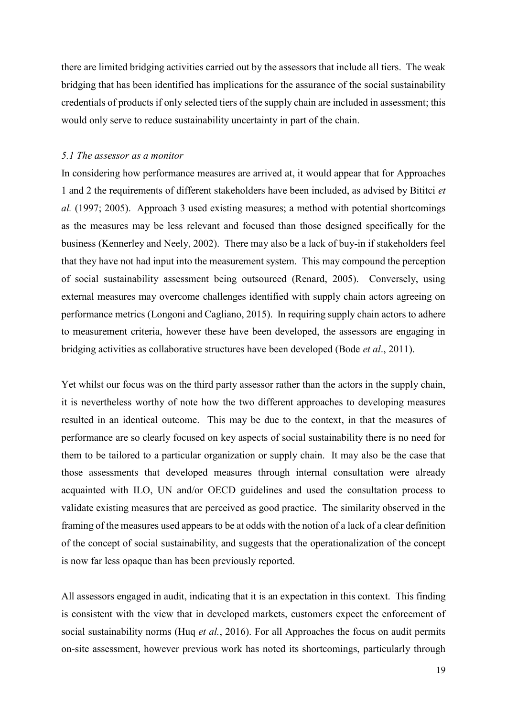there are limited bridging activities carried out by the assessors that include all tiers. The weak bridging that has been identified has implications for the assurance of the social sustainability credentials of products if only selected tiers of the supply chain are included in assessment; this would only serve to reduce sustainability uncertainty in part of the chain.

#### *5.1 The assessor as a monitor*

In considering how performance measures are arrived at, it would appear that for Approaches 1 and 2 the requirements of different stakeholders have been included, as advised by Bititci *et al.* [\(1997;](#page-26-5) [2005\)](#page-26-6). Approach 3 used existing measures; a method with potential shortcomings as the measures may be less relevant and focused than those designed specifically for the business [\(Kennerley and Neely, 2002\)](#page-28-8). There may also be a lack of buy-in if stakeholders feel that they have not had input into the measurement system. This may compound the perception of social sustainability assessment being outsourced [\(Renard, 2005\)](#page-29-3). Conversely, using external measures may overcome challenges identified with supply chain actors agreeing on performance metrics [\(Longoni and Cagliano, 2015\)](#page-28-9). In requiring supply chain actors to adhere to measurement criteria, however these have been developed, the assessors are engaging in bridging activities as collaborative structures have been developed (Bode *et al*., 2011).

Yet whilst our focus was on the third party assessor rather than the actors in the supply chain, it is nevertheless worthy of note how the two different approaches to developing measures resulted in an identical outcome. This may be due to the context, in that the measures of performance are so clearly focused on key aspects of social sustainability there is no need for them to be tailored to a particular organization or supply chain. It may also be the case that those assessments that developed measures through internal consultation were already acquainted with ILO, UN and/or OECD guidelines and used the consultation process to validate existing measures that are perceived as good practice. The similarity observed in the framing of the measures used appears to be at odds with the notion of a lack of a clear definition of the concept of social sustainability, and suggests that the operationalization of the concept is now far less opaque than has been previously reported.

All assessors engaged in audit, indicating that it is an expectation in this context. This finding is consistent with the view that in developed markets, customers expect the enforcement of social sustainability norms (Huq *et al.*[, 2016\)](#page-28-6). For all Approaches the focus on audit permits on-site assessment, however previous work has noted its shortcomings, particularly through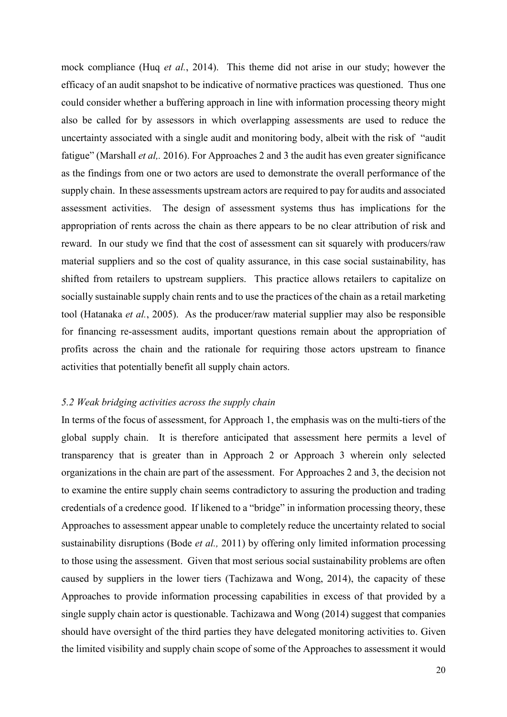mock compliance (Huq *et al.*[, 2014\)](#page-28-1). This theme did not arise in our study; however the efficacy of an audit snapshot to be indicative of normative practices was questioned. Thus one could consider whether a buffering approach in line with information processing theory might also be called for by assessors in which overlapping assessments are used to reduce the uncertainty associated with a single audit and monitoring body, albeit with the risk of "audit fatigue" (Marshall *et al,.* 2016). For Approaches 2 and 3 the audit has even greater significance as the findings from one or two actors are used to demonstrate the overall performance of the supply chain. In these assessments upstream actors are required to pay for audits and associated assessment activities. The design of assessment systems thus has implications for the appropriation of rents across the chain as there appears to be no clear attribution of risk and reward. In our study we find that the cost of assessment can sit squarely with producers/raw material suppliers and so the cost of quality assurance, in this case social sustainability, has shifted from retailers to upstream suppliers. This practice allows retailers to capitalize on socially sustainable supply chain rents and to use the practices of the chain as a retail marketing tool [\(Hatanaka](#page-28-2) *et al.*, 2005). As the producer/raw material supplier may also be responsible for financing re-assessment audits, important questions remain about the appropriation of profits across the chain and the rationale for requiring those actors upstream to finance activities that potentially benefit all supply chain actors.

## *5.2 Weak bridging activities across the supply chain*

In terms of the focus of assessment, for Approach 1, the emphasis was on the multi-tiers of the global supply chain. It is therefore anticipated that assessment here permits a level of transparency that is greater than in Approach 2 or Approach 3 wherein only selected organizations in the chain are part of the assessment. For Approaches 2 and 3, the decision not to examine the entire supply chain seems contradictory to assuring the production and trading credentials of a credence good. If likened to a "bridge" in information processing theory, these Approaches to assessment appear unable to completely reduce the uncertainty related to social sustainability disruptions (Bode *et al.,* 2011) by offering only limited information processing to those using the assessment. Given that most serious social sustainability problems are often caused by suppliers in the lower tiers (Tachizawa and Wong, 2014), the capacity of these Approaches to provide information processing capabilities in excess of that provided by a single supply chain actor is questionable. Tachizawa and Wong (2014) suggest that companies should have oversight of the third parties they have delegated monitoring activities to. Given the limited visibility and supply chain scope of some of the Approaches to assessment it would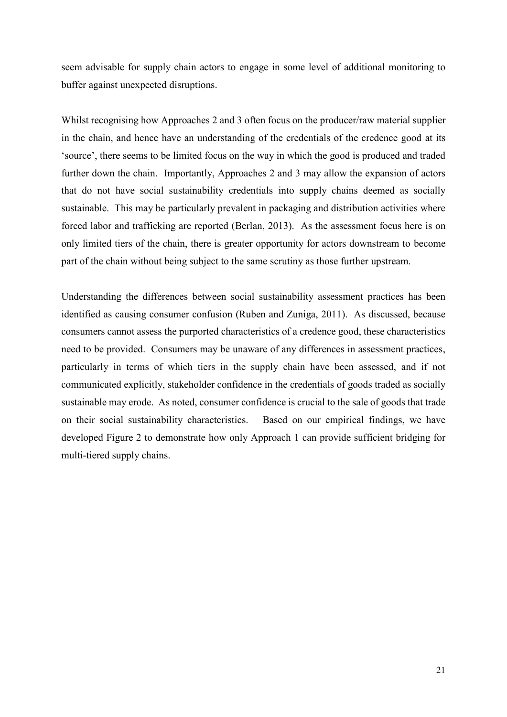seem advisable for supply chain actors to engage in some level of additional monitoring to buffer against unexpected disruptions.

Whilst recognising how Approaches 2 and 3 often focus on the producer/raw material supplier in the chain, and hence have an understanding of the credentials of the credence good at its 'source', there seems to be limited focus on the way in which the good is produced and traded further down the chain. Importantly, Approaches 2 and 3 may allow the expansion of actors that do not have social sustainability credentials into supply chains deemed as socially sustainable. This may be particularly prevalent in packaging and distribution activities where forced labor and trafficking are reported (Berlan, 2013). As the assessment focus here is on only limited tiers of the chain, there is greater opportunity for actors downstream to become part of the chain without being subject to the same scrutiny as those further upstream.

Understanding the differences between social sustainability assessment practices has been identified as causing consumer confusion [\(Ruben and Zuniga, 2011\)](#page-29-5). As discussed, because consumers cannot assess the purported characteristics of a credence good, these characteristics need to be provided. Consumers may be unaware of any differences in assessment practices, particularly in terms of which tiers in the supply chain have been assessed, and if not communicated explicitly, stakeholder confidence in the credentials of goods traded as socially sustainable may erode. As noted, consumer confidence is crucial to the sale of goods that trade on their social sustainability characteristics. Based on our empirical findings, we have developed Figure 2 to demonstrate how only Approach 1 can provide sufficient bridging for multi-tiered supply chains.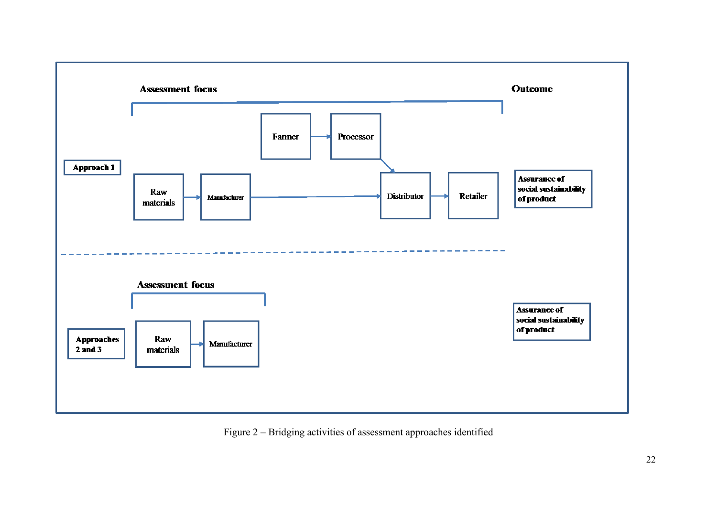

Figure 2 – Bridging activities of assessment approaches identified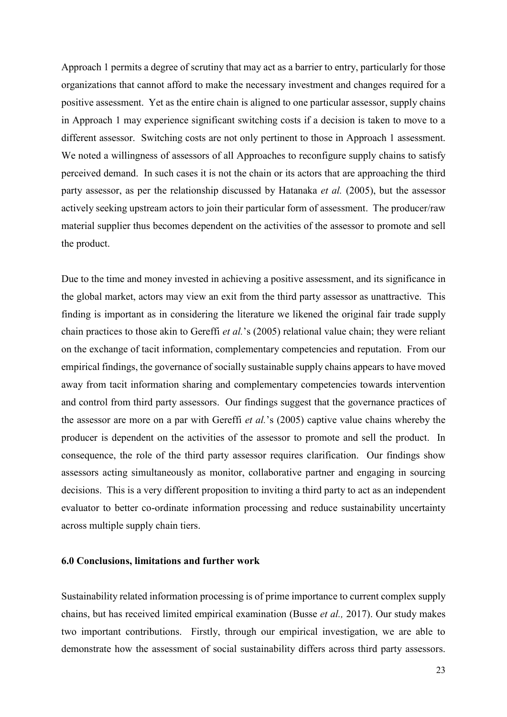Approach 1 permits a degree of scrutiny that may act as a barrier to entry, particularly for those organizations that cannot afford to make the necessary investment and changes required for a positive assessment. Yet as the entire chain is aligned to one particular assessor, supply chains in Approach 1 may experience significant switching costs if a decision is taken to move to a different assessor. Switching costs are not only pertinent to those in Approach 1 assessment. We noted a willingness of assessors of all Approaches to reconfigure supply chains to satisfy perceived demand. In such cases it is not the chain or its actors that are approaching the third party assessor, as per the relationship discussed by Hatanaka *et al.* [\(2005\)](#page-28-2), but the assessor actively seeking upstream actors to join their particular form of assessment. The producer/raw material supplier thus becomes dependent on the activities of the assessor to promote and sell the product.

Due to the time and money invested in achieving a positive assessment, and its significance in the global market, actors may view an exit from the third party assessor as unattractive. This finding is important as in considering the literature we likened the original fair trade supply chain practices to those akin to Gereffi *et al.*'s [\(2005\)](#page-27-7) relational value chain; they were reliant on the exchange of tacit information, complementary competencies and reputation. From our empirical findings, the governance of socially sustainable supply chains appears to have moved away from tacit information sharing and complementary competencies towards intervention and control from third party assessors. Our findings suggest that the governance practices of the assessor are more on a par with Gereffi *et al.*'s [\(2005\)](#page-27-7) captive value chains whereby the producer is dependent on the activities of the assessor to promote and sell the product. In consequence, the role of the third party assessor requires clarification. Our findings show assessors acting simultaneously as monitor, collaborative partner and engaging in sourcing decisions. This is a very different proposition to inviting a third party to act as an independent evaluator to better co-ordinate information processing and reduce sustainability uncertainty across multiple supply chain tiers.

## **6.0 Conclusions, limitations and further work**

Sustainability related information processing is of prime importance to current complex supply chains, but has received limited empirical examination (Busse *et al.,* 2017). Our study makes two important contributions. Firstly, through our empirical investigation, we are able to demonstrate how the assessment of social sustainability differs across third party assessors.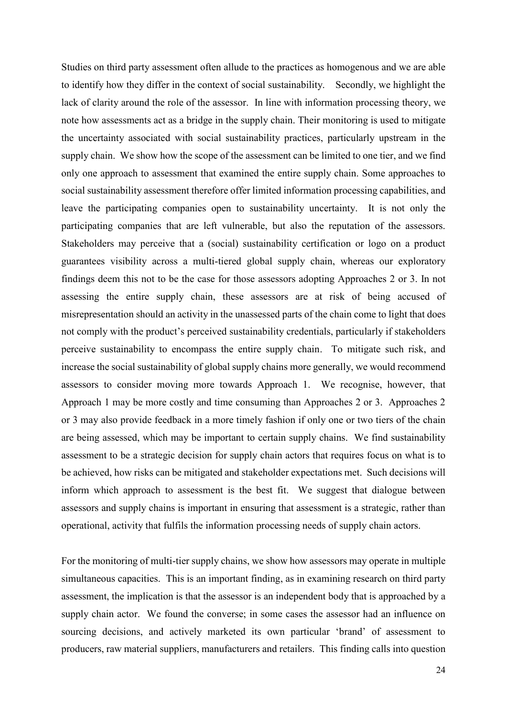Studies on third party assessment often allude to the practices as homogenous and we are able to identify how they differ in the context of social sustainability. Secondly, we highlight the lack of clarity around the role of the assessor. In line with information processing theory, we note how assessments act as a bridge in the supply chain. Their monitoring is used to mitigate the uncertainty associated with social sustainability practices, particularly upstream in the supply chain. We show how the scope of the assessment can be limited to one tier, and we find only one approach to assessment that examined the entire supply chain. Some approaches to social sustainability assessment therefore offer limited information processing capabilities, and leave the participating companies open to sustainability uncertainty. It is not only the participating companies that are left vulnerable, but also the reputation of the assessors. Stakeholders may perceive that a (social) sustainability certification or logo on a product guarantees visibility across a multi-tiered global supply chain, whereas our exploratory findings deem this not to be the case for those assessors adopting Approaches 2 or 3. In not assessing the entire supply chain, these assessors are at risk of being accused of misrepresentation should an activity in the unassessed parts of the chain come to light that does not comply with the product's perceived sustainability credentials, particularly if stakeholders perceive sustainability to encompass the entire supply chain. To mitigate such risk, and increase the social sustainability of global supply chains more generally, we would recommend assessors to consider moving more towards Approach 1. We recognise, however, that Approach 1 may be more costly and time consuming than Approaches 2 or 3. Approaches 2 or 3 may also provide feedback in a more timely fashion if only one or two tiers of the chain are being assessed, which may be important to certain supply chains. We find sustainability assessment to be a strategic decision for supply chain actors that requires focus on what is to be achieved, how risks can be mitigated and stakeholder expectations met. Such decisions will inform which approach to assessment is the best fit. We suggest that dialogue between assessors and supply chains is important in ensuring that assessment is a strategic, rather than operational, activity that fulfils the information processing needs of supply chain actors.

For the monitoring of multi-tier supply chains, we show how assessors may operate in multiple simultaneous capacities. This is an important finding, as in examining research on third party assessment, the implication is that the assessor is an independent body that is approached by a supply chain actor. We found the converse; in some cases the assessor had an influence on sourcing decisions, and actively marketed its own particular 'brand' of assessment to producers, raw material suppliers, manufacturers and retailers. This finding calls into question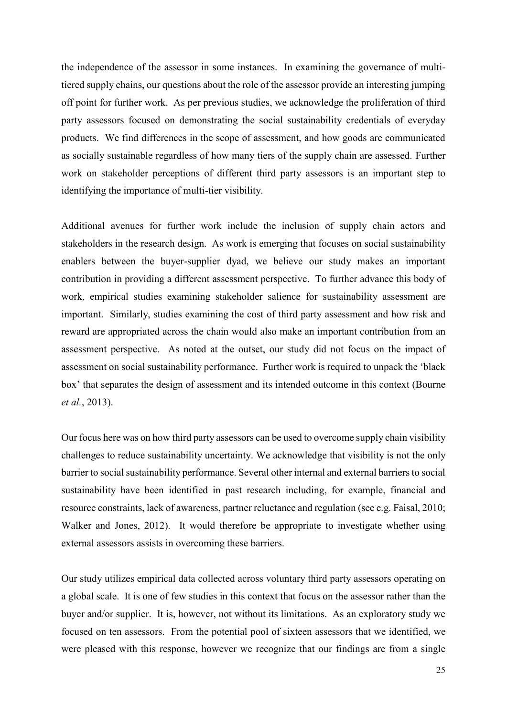the independence of the assessor in some instances. In examining the governance of multitiered supply chains, our questions about the role of the assessor provide an interesting jumping off point for further work. As per previous studies, we acknowledge the proliferation of third party assessors focused on demonstrating the social sustainability credentials of everyday products. We find differences in the scope of assessment, and how goods are communicated as socially sustainable regardless of how many tiers of the supply chain are assessed. Further work on stakeholder perceptions of different third party assessors is an important step to identifying the importance of multi-tier visibility.

Additional avenues for further work include the inclusion of supply chain actors and stakeholders in the research design. As work is emerging that focuses on social sustainability enablers between the buyer-supplier dyad, we believe our study makes an important contribution in providing a different assessment perspective. To further advance this body of work, empirical studies examining stakeholder salience for sustainability assessment are important. Similarly, studies examining the cost of third party assessment and how risk and reward are appropriated across the chain would also make an important contribution from an assessment perspective. As noted at the outset, our study did not focus on the impact of assessment on social sustainability performance. Further work is required to unpack the 'black box' that separates the design of assessment and its intended outcome in this context [\(Bourne](#page-26-7) *et al.*[, 2013\)](#page-26-7).

Our focus here was on how third party assessors can be used to overcome supply chain visibility challenges to reduce sustainability uncertainty. We acknowledge that visibility is not the only barrier to social sustainability performance. Several other internal and external barriers to social sustainability have been identified in past research including, for example, financial and resource constraints, lack of awareness, partner reluctance and regulation (see e.g. Faisal, 2010; Walker and Jones, 2012). It would therefore be appropriate to investigate whether using external assessors assists in overcoming these barriers.

Our study utilizes empirical data collected across voluntary third party assessors operating on a global scale. It is one of few studies in this context that focus on the assessor rather than the buyer and/or supplier. It is, however, not without its limitations. As an exploratory study we focused on ten assessors. From the potential pool of sixteen assessors that we identified, we were pleased with this response, however we recognize that our findings are from a single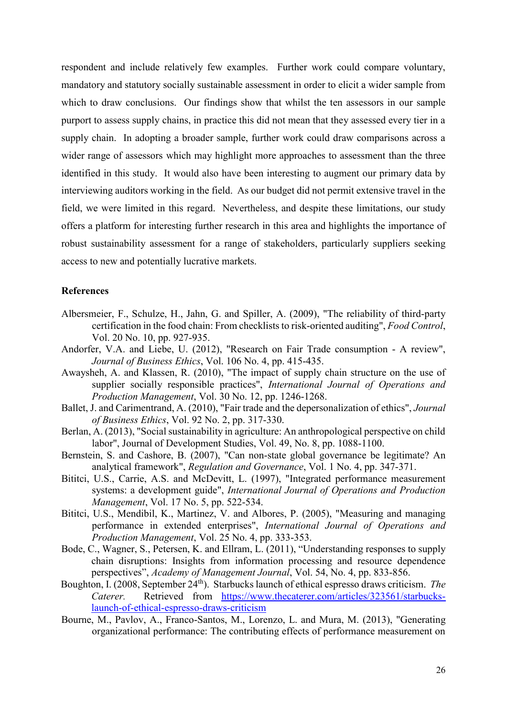respondent and include relatively few examples. Further work could compare voluntary, mandatory and statutory socially sustainable assessment in order to elicit a wider sample from which to draw conclusions. Our findings show that whilst the ten assessors in our sample purport to assess supply chains, in practice this did not mean that they assessed every tier in a supply chain. In adopting a broader sample, further work could draw comparisons across a wider range of assessors which may highlight more approaches to assessment than the three identified in this study. It would also have been interesting to augment our primary data by interviewing auditors working in the field. As our budget did not permit extensive travel in the field, we were limited in this regard. Nevertheless, and despite these limitations, our study offers a platform for interesting further research in this area and highlights the importance of robust sustainability assessment for a range of stakeholders, particularly suppliers seeking access to new and potentially lucrative markets.

## **References**

- <span id="page-26-2"></span>Albersmeier, F., Schulze, H., Jahn, G. and Spiller, A. (2009), "The reliability of third-party certification in the food chain: From checklists to risk-oriented auditing", *Food Control*, Vol. 20 No. 10, pp. 927-935.
- <span id="page-26-1"></span>Andorfer, V.A. and Liebe, U. (2012), "Research on Fair Trade consumption - A review", *Journal of Business Ethics*, Vol. 106 No. 4, pp. 415-435.
- <span id="page-26-0"></span>Awaysheh, A. and Klassen, R. (2010), "The impact of supply chain structure on the use of supplier socially responsible practices", *International Journal of Operations and Production Management*, Vol. 30 No. 12, pp. 1246-1268.
- <span id="page-26-3"></span>Ballet, J. and Carimentrand, A. (2010), "Fair trade and the depersonalization of ethics", *Journal of Business Ethics*, Vol. 92 No. 2, pp. 317-330.
- Berlan, A. (2013), "Social sustainability in agriculture: An anthropological perspective on child labor", Journal of Development Studies, Vol. 49, No. 8, pp. 1088-1100.
- <span id="page-26-4"></span>Bernstein, S. and Cashore, B. (2007), "Can non-state global governance be legitimate? An analytical framework", *Regulation and Governance*, Vol. 1 No. 4, pp. 347-371.
- <span id="page-26-5"></span>Bititci, U.S., Carrie, A.S. and McDevitt, L. (1997), "Integrated performance measurement systems: a development guide", *International Journal of Operations and Production Management*, Vol. 17 No. 5, pp. 522-534.
- <span id="page-26-6"></span>Bititci, U.S., Mendibil, K., Martinez, V. and Albores, P. (2005), "Measuring and managing performance in extended enterprises", *International Journal of Operations and Production Management*, Vol. 25 No. 4, pp. 333-353.
- Bode, C., Wagner, S., Petersen, K. and Ellram, L. (2011), "Understanding responses to supply chain disruptions: Insights from information processing and resource dependence perspectives", *Academy of Management Journal*, Vol. 54, No. 4, pp. 833-856.
- Boughton, I. (2008, September 24th). Starbucks launch of ethical espresso draws criticism. *The Caterer.* Retrieved from [https://www.thecaterer.com/articles/323561/starbucks](https://www.thecaterer.com/articles/323561/starbucks-launch-of-ethical-espresso-draws-criticism)[launch-of-ethical-espresso-draws-criticism](https://www.thecaterer.com/articles/323561/starbucks-launch-of-ethical-espresso-draws-criticism)
- <span id="page-26-7"></span>Bourne, M., Pavlov, A., Franco-Santos, M., Lorenzo, L. and Mura, M. (2013), "Generating organizational performance: The contributing effects of performance measurement on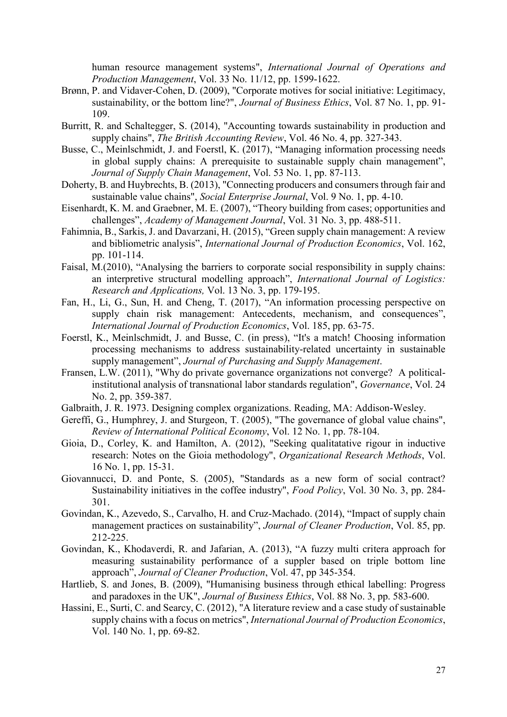human resource management systems", *International Journal of Operations and Production Management*, Vol. 33 No. 11/12, pp. 1599-1622.

- <span id="page-27-0"></span>Brønn, P. and Vidaver-Cohen, D. (2009), "Corporate motives for social initiative: Legitimacy, sustainability, or the bottom line?", *Journal of Business Ethics*, Vol. 87 No. 1, pp. 91- 109.
- <span id="page-27-1"></span>Burritt, R. and Schaltegger, S. (2014), "Accounting towards sustainability in production and supply chains", *The British Accounting Review*, Vol. 46 No. 4, pp. 327-343.
- Busse, C., Meinlschmidt, J. and Foerstl, K. (2017), "Managing information processing needs in global supply chains: A prerequisite to sustainable supply chain management", *Journal of Supply Chain Management*, Vol. 53 No. 1, pp. 87-113.
- <span id="page-27-5"></span>Doherty, B. and Huybrechts, B. (2013), "Connecting producers and consumers through fair and sustainable value chains", *Social Enterprise Journal*, Vol. 9 No. 1, pp. 4-10.
- Eisenhardt, K. M. and Graebner, M. E. (2007), "Theory building from cases; opportunities and challenges", *Academy of Management Journal*, Vol. 31 No. 3, pp. 488-511.
- Fahimnia, B., Sarkis, J. and Davarzani, H. (2015), "Green supply chain management: A review and bibliometric analysis", *International Journal of Production Economics*, Vol. 162, pp. 101-114.
- <span id="page-27-4"></span>Faisal, M.(2010), "Analysing the barriers to corporate social responsibility in supply chains: an interpretive structural modelling approach", *International Journal of Logistics: Research and Applications,* Vol. 13 No. 3, pp. 179-195.
- Fan, H., Li, G., Sun, H. and Cheng, T. (2017), "An information processing perspective on supply chain risk management: Antecedents, mechanism, and consequences", *International Journal of Production Economics*, Vol. 185, pp. 63-75.
- Foerstl, K., Meinlschmidt, J. and Busse, C. (in press), "It's a match! Choosing information processing mechanisms to address sustainability-related uncertainty in sustainable supply management", *Journal of Purchasing and Supply Management*.
- Fransen, L.W. (2011), "Why do private governance organizations not converge? A politicalinstitutional analysis of transnational labor standards regulation", *Governance*, Vol. 24 No. 2, pp. 359-387.
- Galbraith, J. R. 1973. Designing complex organizations. Reading, MA: Addison-Wesley.
- <span id="page-27-7"></span>Gereffi, G., Humphrey, J. and Sturgeon, T. (2005), "The governance of global value chains", *Review of International Political Economy*, Vol. 12 No. 1, pp. 78-104.
- <span id="page-27-6"></span>Gioia, D., Corley, K. and Hamilton, A. (2012), "Seeking qualitatative rigour in inductive research: Notes on the Gioia methodology", *Organizational Research Methods*, Vol. 16 No. 1, pp. 15-31.
- <span id="page-27-2"></span>Giovannucci, D. and Ponte, S. (2005), "Standards as a new form of social contract? Sustainability initiatives in the coffee industry", *Food Policy*, Vol. 30 No. 3, pp. 284- 301.
- Govindan, K., Azevedo, S., Carvalho, H. and Cruz-Machado. (2014), "Impact of supply chain management practices on sustainability", *Journal of Cleaner Production*, Vol. 85, pp. 212-225.
- Govindan, K., Khodaverdi, R. and Jafarian, A. (2013), "A fuzzy multi critera approach for measuring sustainability performance of a suppler based on triple bottom line approach", *Journal of Cleaner Production*, Vol. 47, pp 345-354.
- <span id="page-27-3"></span>Hartlieb, S. and Jones, B. (2009), "Humanising business through ethical labelling: Progress and paradoxes in the UK", *Journal of Business Ethics*, Vol. 88 No. 3, pp. 583-600.
- Hassini, E., Surti, C. and Searcy, C. (2012), "A literature review and a case study of sustainable supply chains with a focus on metrics", *International Journal of Production Economics*, Vol. 140 No. 1, pp. 69-82.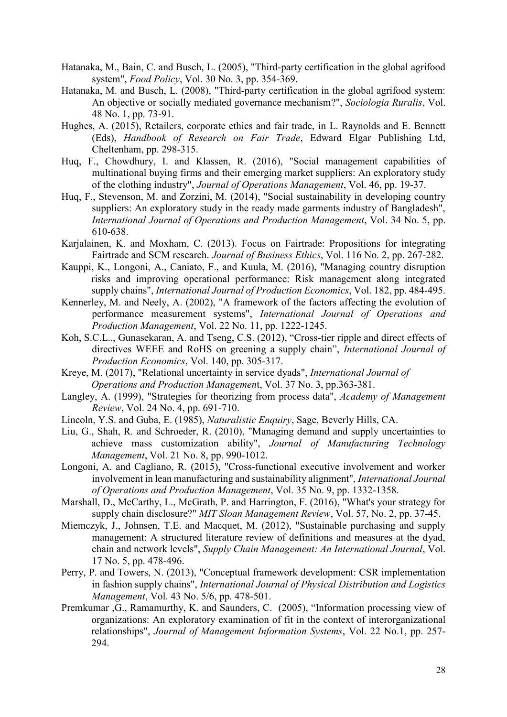- <span id="page-28-2"></span>Hatanaka, M., Bain, C. and Busch, L. (2005), "Third-party certification in the global agrifood system", *Food Policy*, Vol. 30 No. 3, pp. 354-369.
- <span id="page-28-3"></span>Hatanaka, M. and Busch, L. (2008), "Third-party certification in the global agrifood system: An objective or socially mediated governance mechanism?", *Sociologia Ruralis*, Vol. 48 No. 1, pp. 73-91.
- <span id="page-28-4"></span>Hughes, A. (2015), Retailers, corporate ethics and fair trade, in L. Raynolds and E. Bennett (Eds), *Handbook of Research on Fair Trade*, Edward Elgar Publishing Ltd, Cheltenham, pp. 298-315.
- <span id="page-28-6"></span>Huq, F., Chowdhury, I. and Klassen, R. (2016), "Social management capabilities of multinational buying firms and their emerging market suppliers: An exploratory study of the clothing industry", *Journal of Operations Management*, Vol. 46, pp. 19-37.
- <span id="page-28-1"></span>Huq, F., Stevenson, M. and Zorzini, M. (2014), "Social sustainability in developing country suppliers: An exploratory study in the ready made garments industry of Bangladesh", *International Journal of Operations and Production Management*, Vol. 34 No. 5, pp. 610-638.
- Karjalainen, K. and Moxham, C. (2013). Focus on Fairtrade: Propositions for integrating Fairtrade and SCM research. *Journal of Business Ethics*, Vol. 116 No. 2, pp. 267-282.
- Kauppi, K., Longoni, A., Caniato, F., and Kuula, M. (2016), "Managing country disruption risks and improving operational performance: Risk management along integrated supply chains", *International Journal of Production Economics*, Vol. 182, pp. 484-495.
- <span id="page-28-8"></span>Kennerley, M. and Neely, A. (2002), "A framework of the factors affecting the evolution of performance measurement systems", *International Journal of Operations and Production Management*, Vol. 22 No. 11, pp. 1222-1245.
- Koh, S.C.L.., Gunasekaran, A. and Tseng, C.S. (2012), "Cross-tier ripple and direct effects of directives WEEE and RoHS on greening a supply chain", *International Journal of Production Economics*, Vol. 140, pp. 305-317.
- Kreye, M. (2017), "Relational uncertainty in service dyads", *International Journal of Operations and Production Managemen*t, Vol. 37 No. 3, pp.363-381.
- <span id="page-28-5"></span>Langley, A. (1999), "Strategies for theorizing from process data", *Academy of Management Review*, Vol. 24 No. 4, pp. 691-710.
- <span id="page-28-7"></span>Lincoln, Y.S. and Guba, E. (1985), *Naturalistic Enquiry*, Sage, Beverly Hills, CA.
- Liu, G., Shah, R. and Schroeder, R. (2010), "Managing demand and supply uncertainties to achieve mass customization ability", *Journal of Manufacturing Technology Management*, Vol. 21 No. 8, pp. 990-1012.
- <span id="page-28-9"></span>Longoni, A. and Cagliano, R. (2015), "Cross-functional executive involvement and worker involvement in lean manufacturing and sustainability alignment", *International Journal of Operations and Production Management*, Vol. 35 No. 9, pp. 1332-1358.
- Marshall, D., McCarthy, L., McGrath, P. and Harrington, F. (2016), "What's your strategy for supply chain disclosure?" *MIT Sloan Management Review*, Vol. 57, No. 2, pp. 37-45.
- Miemczyk, J., Johnsen, T.E. and Macquet, M. (2012), "Sustainable purchasing and supply management: A structured literature review of definitions and measures at the dyad, chain and network levels", *Supply Chain Management: An International Journal*, Vol. 17 No. 5, pp. 478-496.
- <span id="page-28-0"></span>Perry, P. and Towers, N. (2013), "Conceptual framework development: CSR implementation in fashion supply chains", *International Journal of Physical Distribution and Logistics Management*, Vol. 43 No. 5/6, pp. 478-501.
- Premkumar ,G., Ramamurthy, K. and Saunders, C. (2005), "Information processing view of organizations: An exploratory examination of fit in the context of interorganizational relationships", *Journal of Management Information Systems*, Vol. 22 No.1, pp. 257- 294.